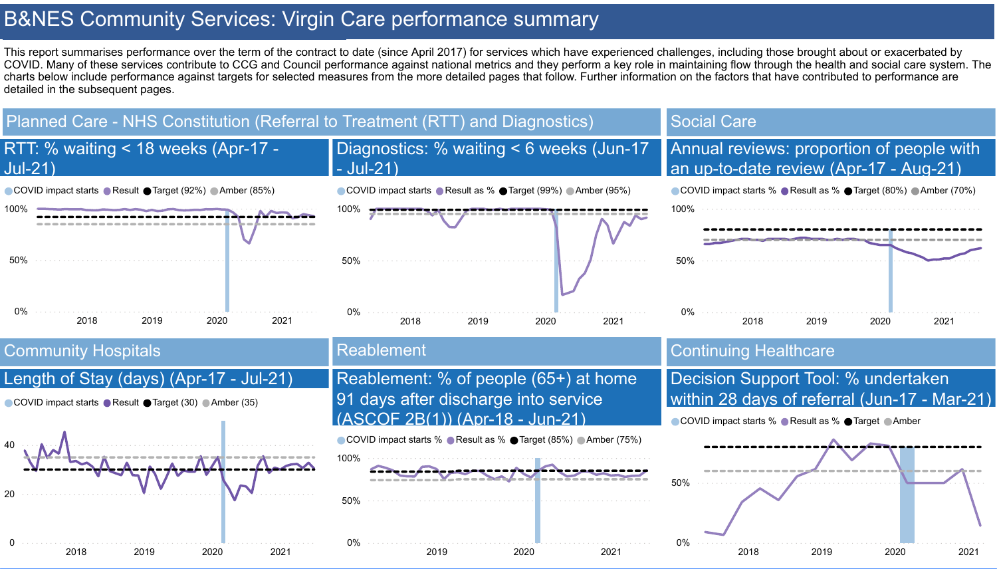# B&NES Community Services: Virgin Care performance summary

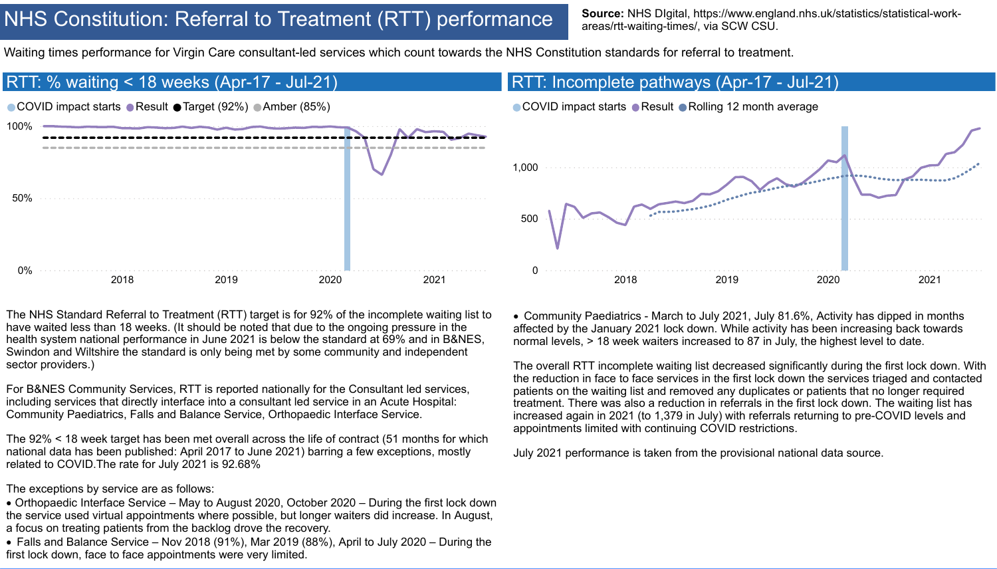

# NHS Constitution: Referral to Treatment (RTT) performance

Source: NHS DIgital, https://www.england.nhs.uk/statistics/statistical-workareas/rtt-waiting-times/, via SCW CSU.

Waiting times performance for Virgin Care consultant-led services which count towards the NHS Constitution standards for referral to treatment.

For B&NES Community Services, RTT is reported nationally for the Consultant led services, including services that directly interface into a consultant led service in an Acute Hospital: Community Paediatrics, Falls and Balance Service, Orthopaedic Interface Service.

The NHS Standard Referral to Treatment (RTT) target is for 92% of the incomplete waiting list to have waited less than 18 weeks. (It should be noted that due to the ongoing pressure in the health system national performance in June 2021 is below the standard at 69% and in B&NES, Swindon and Wiltshire the standard is only being met by some community and independent sector providers.) · Community Paediatrics - March to July 2021, July 81.6%, Activity has dipped in months affected by the January 2021 lock down. While activity has been increasing back towards normal levels, > 18 week waiters increased to 87 in July, the highest level to date.

The exceptions by service are as follows:

- · Orthopaedic Interface Service May to August 2020, October 2020 During the first lock down the service used virtual appointments where possible, but longer waiters did increase. In August, a focus on treating patients from the backlog drove the recovery.
- · Falls and Balance Service Nov 2018 (91%), Mar 2019 (88%), April to July 2020 During the first lock down, face to face appointments were very limited.



The 92% < 18 week target has been met overall across the life of contract (51 months for which national data has been published: April 2017 to June 2021) barring a few exceptions, mostly related to COVID.The rate for July 2021 is 92.68% July 2021 performance is taken from the provisional national data source.

The overall RTT incomplete waiting list decreased significantly during the first lock down. With the reduction in face to face services in the first lock down the services triaged and contacted patients on the waiting list and removed any duplicates or patients that no longer required treatment. There was also a reduction in referrals in the first lock down. The waiting list has increased again in 2021 (to 1,379 in July) with referrals returning to pre-COVID levels and appointments limited with continuing COVID restrictions.

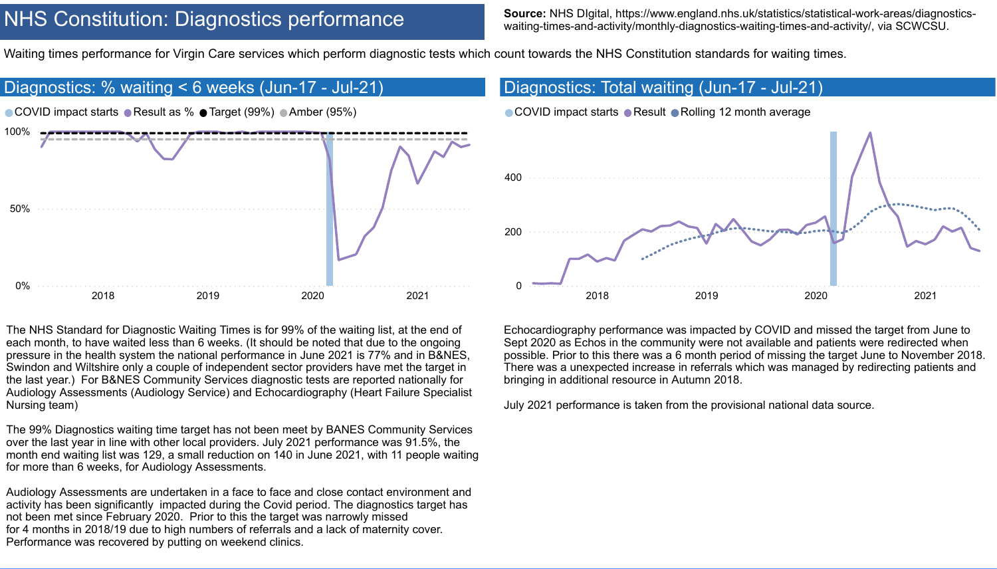## NHS Constitution: Diagnostics performance

Source: NHS DIgital, https://www.england.nhs.uk/statistics/statistical-work-areas/diagnosticswaiting-times-and-activity/monthly-diagnostics-waiting-times-and-activity/, via SCWCSU.

Waiting times performance for Virgin Care services which perform diagnostic tests which count towards the NHS Constitution standards for waiting times.

each month, to have waited less than 6 weeks. (It should be noted that due to the ongoing pressure in the health system the national performance in June 2021 is 77% and in B&NES, Swindon and Wiltshire only a couple of independent sector providers have met the target in the last year.) For B&NES Community Services diagnostic tests are reported nationally for Audiology Assessments (Audiology Service) and Echocardiography (Heart Failure Specialist Nursing team)



The 99% Diagnostics waiting time target has not been meet by BANES Community Services over the last year in line with other local providers. July 2021 performance was 91.5%, the month end waiting list was 129, a small reduction on 140 in June 2021, with 11 people waiting for more than 6 weeks, for Audiology Assessments.

Audiology Assessments are undertaken in a face to face and close contact environment and activity has been significantly impacted during the Covid period. The diagnostics target has not been met since February 2020. Prior to this the target was narrowly missed for 4 months in 2018/19 due to high numbers of referrals and a lack of maternity cover. Performance was recovered by putting on weekend clinics.

Sept 2020 as Echos in the community were not available and patients were redirected when possible. Prior to this there was a 6 month period of missing the target June to November 2018. There was a unexpected increase in referrals which was managed by redirecting patients and bringing in additional resource in Autumn 2018.

July 2021 performance is taken from the provisional national data source.

- 
- 
- 



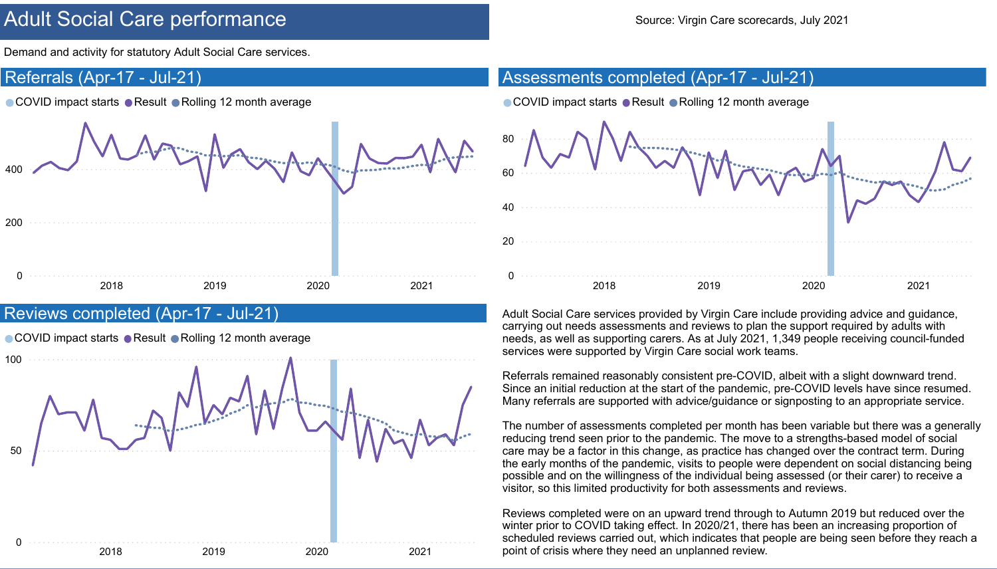

## Adult Social Care performance Source: Virgin Care scorecards, July 2021

Demand and activity for statutory Adult Social Care services.

Adult Social Care services provided by Virgin Care include providing advice and guidance, carrying out needs assessments and reviews to plan the support required by adults with needs, as well as supporting carers. As at July 2021, 1,349 people receiving council-funded services were supported by Virgin Care social work teams.

Referrals remained reasonably consistent pre-COVID, albeit with a slight downward trend. Since an initial reduction at the start of the pandemic, pre-COVID levels have since resumed. Many referrals are supported with advice/guidance or signposting to an appropriate service.

The number of assessments completed per month has been variable but there was a generally reducing trend seen prior to the pandemic. The move to a strengths-based model of social care may be a factor in this change, as practice has changed over the contract term. During the early months of the pandemic, visits to people were dependent on social distancing being possible and on the willingness of the individual being assessed (or their carer) to receive a visitor, so this limited productivity for both assessments and reviews.

Reviews completed were on an upward trend through to Autumn 2019 but reduced over the winter prior to COVID taking effect. In 2020/21, there has been an increasing proportion of scheduled reviews carried out, which indicates that people are being seen before they reach a point of crisis where they need an unplanned review.









#### Referrals (Apr-17 - Jul-21)

● COVID impact starts ● Result ● Rolling 12 month average

0 200 400 2018 2019 2020 2021

#### Reviews completed (Apr-17 - Jul-21)

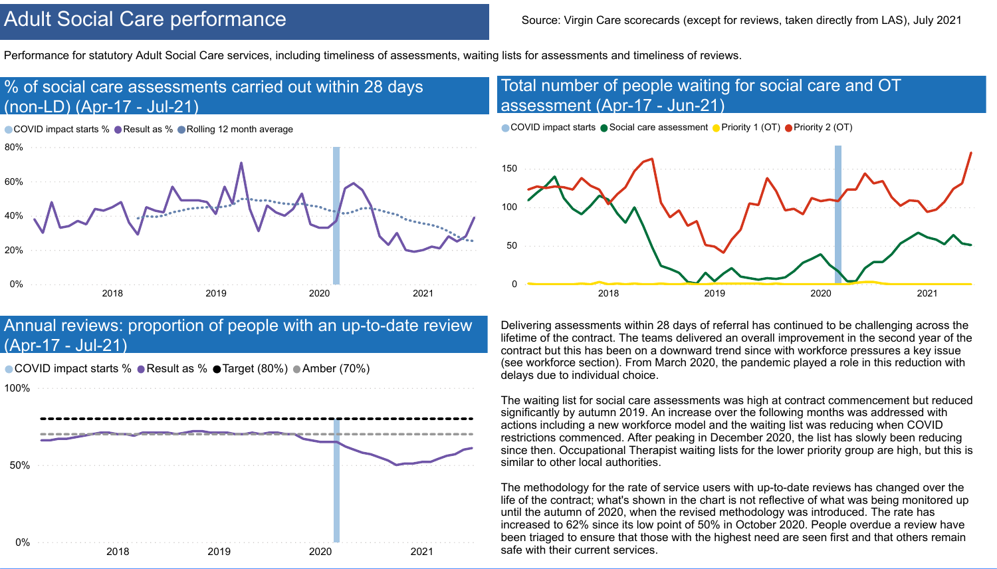#### Annual reviews: proportion of people with an up-to-date review (Apr-17 - Jul-21)

● COVID impact starts % ● Result as % ● Target (80%) ● Amber (70%)



100%

0% 50% 2018 2019 2020 2021

## Adult Social Care performance Source: Virgin Care scorecards (except for reviews, taken directly from LAS), July 2021

Performance for statutory Adult Social Care services, including timeliness of assessments, waiting lists for assessments and timeliness of reviews.

Delivering assessments within 28 days of referral has continued to be challenging across the lifetime of the contract. The teams delivered an overall improvement in the second year of the contract but this has been on a downward trend since with workforce pressures a key issue (see workforce section). From March 2020, the pandemic played a role in this reduction with delays due to individual choice.

The waiting list for social care assessments was high at contract commencement but reduced significantly by autumn 2019. An increase over the following months was addressed with actions including a new workforce model and the waiting list was reducing when COVID restrictions commenced. After peaking in December 2020, the list has slowly been reducing since then. Occupational Therapist waiting lists for the lower priority group are high, but this is similar to other local authorities.

The methodology for the rate of service users with up-to-date reviews has changed over the life of the contract; what's shown in the chart is not reflective of what was being monitored up until the autumn of 2020, when the revised methodology was introduced. The rate has increased to 62% since its low point of 50% in October 2020. People overdue a review have been triaged to ensure that those with the highest need are seen first and that others remain safe with their current services.





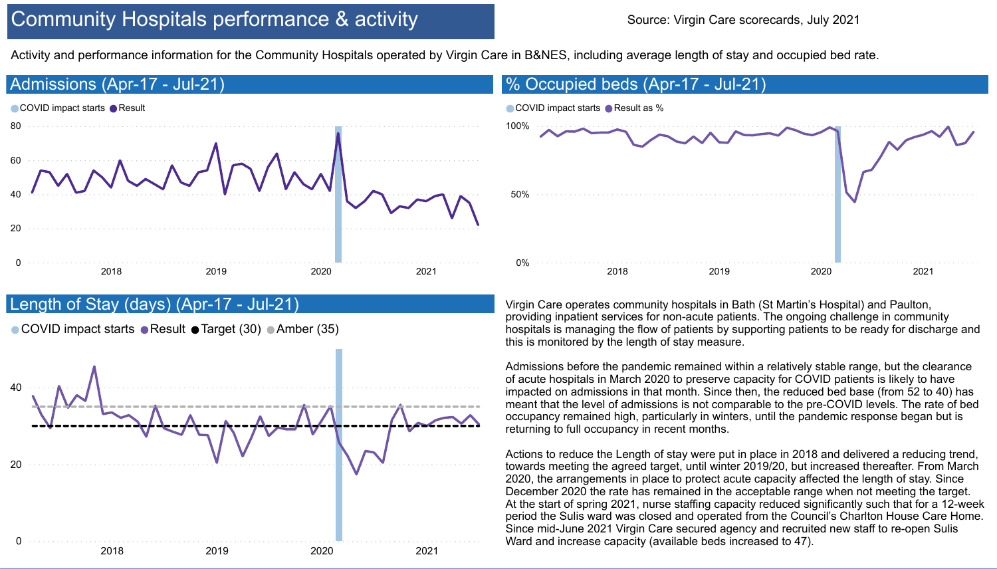## Community Hospitals performance & activity



### Length of Stay (days) (Apr-17 - Jul-21)

● COVID impact starts ● Result ● Target (30) ● Amber (35)



Activity and performance information for the Community Hospitals operated by Virgin Care in B&NES, including average length of stay and occupied bed rate.

Virgin Care operates community hospitals in Bath (St Martin's Hospital) and Paulton, providing inpatient services for non-acute patients. The ongoing challenge in community hospitals is managing the flow of patients by supporting patients to be ready for discharge and this is monitored by the length of stay measure.

Admissions before the pandemic remained within a relatively stable range, but the clearance of acute hospitals in March 2020 to preserve capacity for COVID patients is likely to have impacted on admissions in that month. Since then, the reduced bed base (from 52 to 40) has meant that the level of admissions is not comparable to the pre-COVID levels. The rate of bed occupancy remained high, particularly in winters, until the pandemic response began but is returning to full occupancy in recent months.

Actions to reduce the Length of stay were put in place in 2018 and delivered a reducing trend, towards meeting the agreed target, until winter 2019/20, but increased thereafter. From March 2020, the arrangements in place to protect acute capacity affected the length of stay. Since December 2020 the rate has remained in the acceptable range when not meeting the target. At the start of spring 2021, nurse staffing capacity reduced significantly such that for a 12-week period the Sulis ward was closed and operated from the Council's Charlton House Care Home. Since mid-June 2021 Virgin Care secured agency and recruited new staff to re-open Sulis Ward and increase capacity (available beds increased to 47).



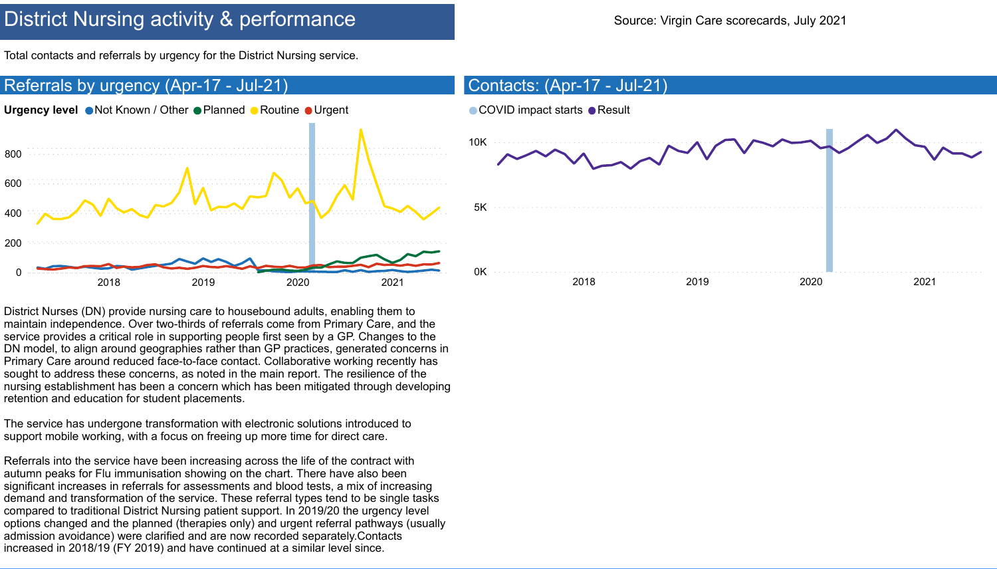## District Nursing activity & performance Source: Virgin Care scorecards, July 2021

Total contacts and referrals by urgency for the District Nursing service.

District Nurses (DN) provide nursing care to housebound adults, enabling them to maintain independence. Over two-thirds of referrals come from Primary Care, and the service provides a critical role in supporting people first seen by a GP. Changes to the DN model, to align around geographies rather than GP practices, generated concerns in Primary Care around reduced face-to-face contact. Collaborative working recently has sought to address these concerns, as noted in the main report. The resilience of the nursing establishment has been a concern which has been mitigated through developing retention and education for student placements.



The service has undergone transformation with electronic solutions introduced to support mobile working, with a focus on freeing up more time for direct care.

Referrals into the service have been increasing across the life of the contract with autumn peaks for Flu immunisation showing on the chart. There have also been significant increases in referrals for assessments and blood tests, a mix of increasing demand and transformation of the service. These referral types tend to be single tasks compared to traditional District Nursing patient support. In 2019/20 the urgency level options changed and the planned (therapies only) and urgent referral pathways (usually admission avoidance) were clarified and are now recorded separately.Contacts increased in 2018/19 (FY 2019) and have continued at a similar level since.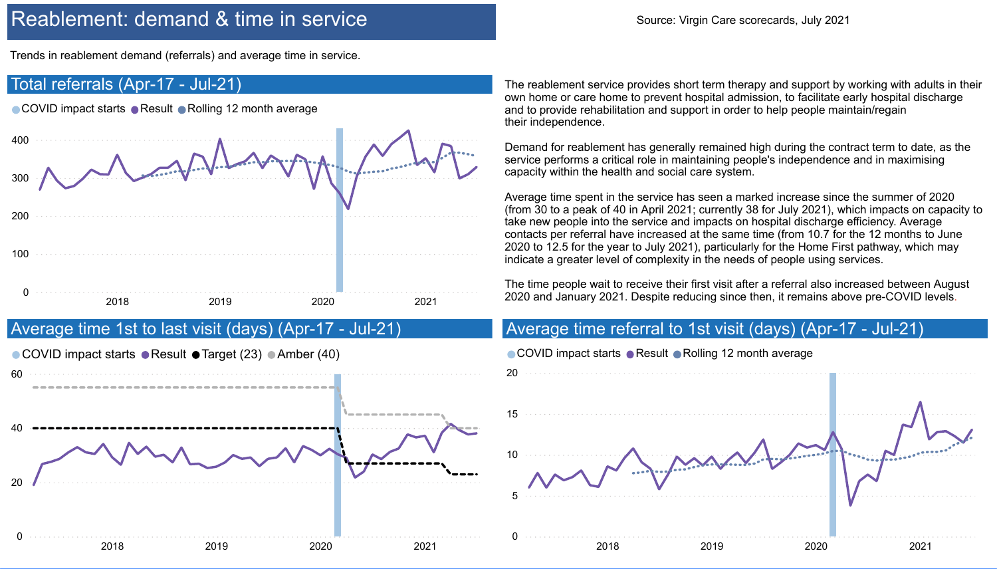## Reablement: demand & time in service Source: Virgin Care scorecards, July 2021

Trends in reablement demand (referrals) and average time in service.

The reablement service provides short term therapy and support by working with adults in their own home or care home to prevent hospital admission, to facilitate early hospital discharge and to provide rehabilitation and support in order to help people maintain/regain their independence.

Demand for reablement has generally remained high during the contract term to date, as the service performs a critical role in maintaining people's independence and in maximising capacity within the health and social care system.

![](_page_7_Figure_2.jpeg)

Average time spent in the service has seen a marked increase since the summer of 2020 (from 30 to a peak of 40 in April 2021; currently 38 for July 2021), which impacts on capacity to take new people into the service and impacts on hospital discharge efficiency. Average contacts per referral have increased at the same time (from 10.7 for the 12 months to June 2020 to 12.5 for the year to July 2021), particularly for the Home First pathway, which may indicate a greater level of complexity in the needs of people using services.

The time people wait to receive their first visit after a referral also increased between August 2020 and January 2021. Despite reducing since then, it remains above pre-COVID levels.

#### Average time referral to 1st visit (days) (Apr-17 - Jul-21)

![](_page_7_Figure_9.jpeg)

![](_page_7_Figure_10.jpeg)

![](_page_7_Figure_11.jpeg)

![](_page_7_Figure_12.jpeg)

![](_page_7_Figure_13.jpeg)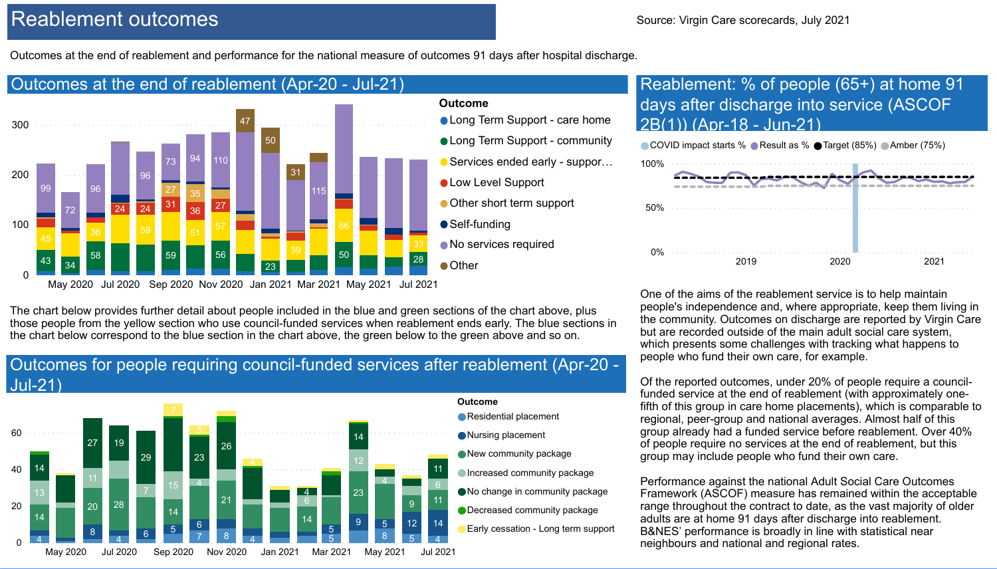![](_page_8_Figure_24.jpeg)

![](_page_8_Figure_28.jpeg)

![](_page_8_Figure_29.jpeg)

![](_page_8_Figure_30.jpeg)

## Reablement outcomes and the source: Virgin Care scorecards, July 2021

Outcomes at the end of reablement and performance for the national measure of outcomes 91 days after hospital discharge.

One of the aims of the reablement service is to help maintain people's independence and, where appropriate, keep them living in the community. Outcomes on discharge are reported by Virgin Care but are recorded outside of the main adult social care system, which presents some challenges with tracking what happens to people who fund their own care, for example.

Of the reported outcomes, under 20% of people require a councilfunded service at the end of reablement (with approximately onefifth of this group in care home placements), which is comparable to regional, peer-group and national averages. Almost half of this group already had a funded service before reablement. Over 40% of people require no services at the end of reablement, but this group may include people who fund their own care.

- **. Long Term Support care home**
- **. Long Term Support community**
- Services ended early suppor…
- **OLow Level Support**
- Other short term support
- Self-funding
- No services required
	-

#### **Outcome**

Performance against the national Adult Social Care Outcomes Framework (ASCOF) measure has remained within the acceptable range throughout the contract to date, as the vast majority of older adults are at home 91 days after discharge into reablement. B&NES' performance is broadly in line with statistical near neighbours and national and regional rates.

![](_page_8_Figure_2.jpeg)

#### Outcomes for people requiring council-funded services after reablement (Apr-20 - Jul-21)

![](_page_8_Figure_5.jpeg)

- Residential placement
- Nursing placement
- New community package
- **Increased community package**
- No change in community package
- Decreased community package
- Early cessation Long term support

The chart below provides further detail about people included in the blue and green sections of the chart above, plus those people from the yellow section who use council-funded services when reablement ends early. The blue sections in the chart below correspond to the blue section in the chart above, the green below to the green above and so on.